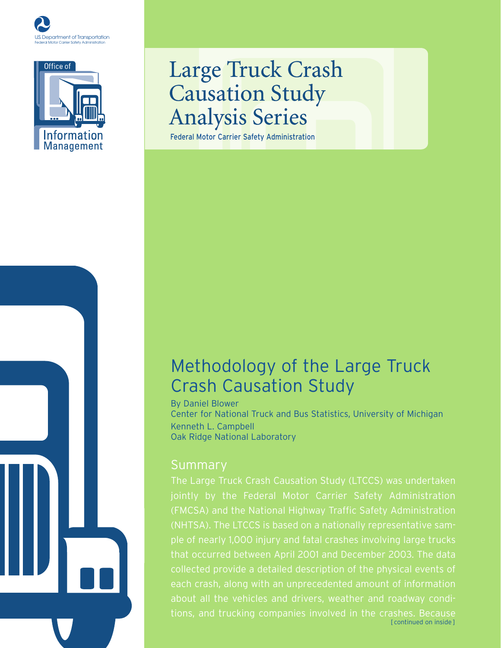



# Large Truck Crash Causation Study Analysis Series

Federal Motor Carrier Safety Administration

## Methodology of the Large Truck Crash Causation Study

By Daniel Blower Center for National Truck and Bus Statistics, University of Michigan Kenneth L. Campbell Oak Ridge National Laboratory

### Summary

that occurred between April 2001 and December 2003. The data about all the vehicles and drivers, weather and roadway condi-[ continued on inside ]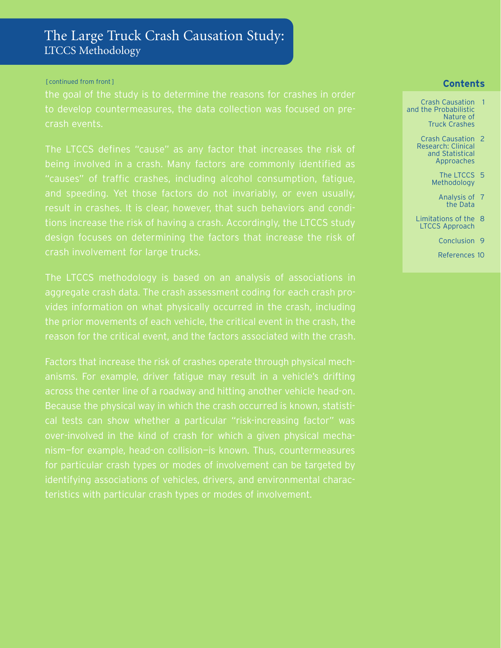### The Large Truck Crash Causation Study: LTCCS Methodology

#### [ continued from front ]

to develop countermeasures, the data collection was focused on precrash events.

The LTCCS defines "cause" as any factor that increases the risk of and speeding. Yet those factors do not invariably, or even usually, result in crashes. It is clear, however, that such behaviors and condicrash involvement for large trucks.

nism—for example, head-on collision—is known. Thus, countermeasures

#### **Contents**

- Crash Causation 1 and the Probabilistic Nature of Truck Crashes
	- Crash Causation 2 Research: Clinical and Statistical Approaches
		- The LTCCS 5 Methodology
			- Analysis of 7 the Data
	- Limitations of the 8 LTCCS Approach
		- Conclusion 9
		- References 10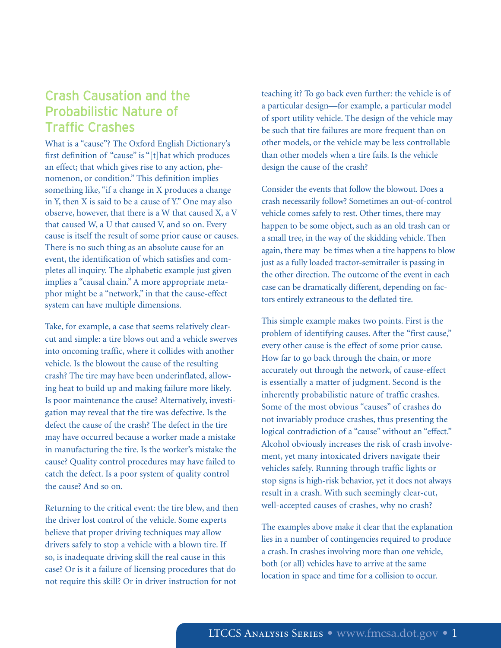### Crash Causation and the Probabilistic Nature of Traffic Crashes

What is a "cause"? The Oxford English Dictionary's first definition of "cause" is "[t]hat which produces an effect; that which gives rise to any action, phenomenon, or condition." This definition implies something like, "if a change in X produces a change in Y, then X is said to be a cause of Y." One may also observe, however, that there is a W that caused X, a V that caused W, a U that caused V, and so on. Every cause is itself the result of some prior cause or causes. There is no such thing as an absolute cause for an event, the identification of which satisfies and completes all inquiry. The alphabetic example just given implies a "causal chain." A more appropriate metaphor might be a "network," in that the cause-effect system can have multiple dimensions.

Take, for example, a case that seems relatively clearcut and simple: a tire blows out and a vehicle swerves into oncoming traffic, where it collides with another vehicle. Is the blowout the cause of the resulting crash? The tire may have been underinflated, allowing heat to build up and making failure more likely. Is poor maintenance the cause? Alternatively, investigation may reveal that the tire was defective. Is the defect the cause of the crash? The defect in the tire may have occurred because a worker made a mistake in manufacturing the tire. Is the worker's mistake the cause? Quality control procedures may have failed to catch the defect. Is a poor system of quality control the cause? And so on.

Returning to the critical event: the tire blew, and then the driver lost control of the vehicle. Some experts believe that proper driving techniques may allow drivers safely to stop a vehicle with a blown tire. If so, is inadequate driving skill the real cause in this case? Or is it a failure of licensing procedures that do not require this skill? Or in driver instruction for not

teaching it? To go back even further: the vehicle is of a particular design—for example, a particular model of sport utility vehicle. The design of the vehicle may be such that tire failures are more frequent than on other models, or the vehicle may be less controllable than other models when a tire fails. Is the vehicle design the cause of the crash?

Consider the events that follow the blowout. Does a crash necessarily follow? Sometimes an out-of-control vehicle comes safely to rest. Other times, there may happen to be some object, such as an old trash can or a small tree, in the way of the skidding vehicle. Then again, there may be times when a tire happens to blow just as a fully loaded tractor-semitrailer is passing in the other direction. The outcome of the event in each case can be dramatically different, depending on factors entirely extraneous to the deflated tire.

This simple example makes two points. First is the problem of identifying causes. After the "first cause," every other cause is the effect of some prior cause. How far to go back through the chain, or more accurately out through the network, of cause-effect is essentially a matter of judgment. Second is the inherently probabilistic nature of traffic crashes. Some of the most obvious "causes" of crashes do not invariably produce crashes, thus presenting the logical contradiction of a "cause" without an "effect." Alcohol obviously increases the risk of crash involvement, yet many intoxicated drivers navigate their vehicles safely. Running through traffic lights or stop signs is high-risk behavior, yet it does not always result in a crash. With such seemingly clear-cut, well-accepted causes of crashes, why no crash?

The examples above make it clear that the explanation lies in a number of contingencies required to produce a crash. In crashes involving more than one vehicle, both (or all) vehicles have to arrive at the same location in space and time for a collision to occur.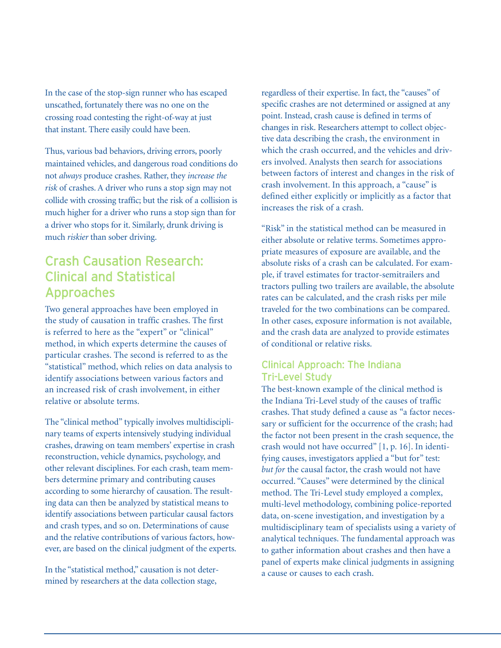In the case of the stop-sign runner who has escaped unscathed, fortunately there was no one on the crossing road contesting the right-of-way at just that instant. There easily could have been.

Thus, various bad behaviors, driving errors, poorly maintained vehicles, and dangerous road conditions do not *always* produce crashes. Rather, they *increase the risk* of crashes. A driver who runs a stop sign may not collide with crossing traffic; but the risk of a collision is much higher for a driver who runs a stop sign than for a driver who stops for it. Similarly, drunk driving is much *riskier* than sober driving.

### Crash Causation Research: Clinical and Statistical Approaches

Two general approaches have been employed in the study of causation in traffic crashes. The first is referred to here as the "expert" or "clinical" method, in which experts determine the causes of particular crashes. The second is referred to as the "statistical" method, which relies on data analysis to identify associations between various factors and an increased risk of crash involvement, in either relative or absolute terms.

The "clinical method" typically involves multidisciplinary teams of experts intensively studying individual crashes, drawing on team members' expertise in crash reconstruction, vehicle dynamics, psychology, and other relevant disciplines. For each crash, team members determine primary and contributing causes according to some hierarchy of causation. The resulting data can then be analyzed by statistical means to identify associations between particular causal factors and crash types, and so on. Determinations of cause and the relative contributions of various factors, however, are based on the clinical judgment of the experts.

In the "statistical method," causation is not determined by researchers at the data collection stage,

regardless of their expertise. In fact, the "causes" of specific crashes are not determined or assigned at any point. Instead, crash cause is defined in terms of changes in risk. Researchers attempt to collect objective data describing the crash, the environment in which the crash occurred, and the vehicles and drivers involved. Analysts then search for associations between factors of interest and changes in the risk of crash involvement. In this approach, a "cause" is defined either explicitly or implicitly as a factor that increases the risk of a crash.

"Risk" in the statistical method can be measured in either absolute or relative terms. Sometimes appropriate measures of exposure are available, and the absolute risks of a crash can be calculated. For example, if travel estimates for tractor-semitrailers and tractors pulling two trailers are available, the absolute rates can be calculated, and the crash risks per mile traveled for the two combinations can be compared. In other cases, exposure information is not available, and the crash data are analyzed to provide estimates of conditional or relative risks.

#### Clinical Approach: The Indiana Tri-Level Study

The best-known example of the clinical method is the Indiana Tri-Level study of the causes of traffic crashes. That study defined a cause as "a factor necessary or sufficient for the occurrence of the crash; had the factor not been present in the crash sequence, the crash would not have occurred" [1, p. 16]. In identifying causes, investigators applied a "but for" test: *but for* the causal factor, the crash would not have occurred. "Causes" were determined by the clinical method. The Tri-Level study employed a complex, multi-level methodology, combining police-reported data, on-scene investigation, and investigation by a multidisciplinary team of specialists using a variety of analytical techniques. The fundamental approach was to gather information about crashes and then have a panel of experts make clinical judgments in assigning a cause or causes to each crash.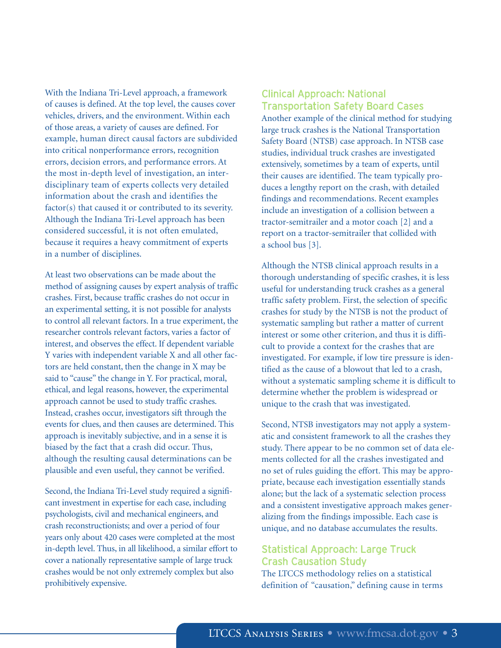With the Indiana Tri-Level approach, a framework of causes is defined. At the top level, the causes cover vehicles, drivers, and the environment. Within each of those areas, a variety of causes are defined. For example, human direct causal factors are subdivided into critical nonperformance errors, recognition errors, decision errors, and performance errors. At the most in-depth level of investigation, an interdisciplinary team of experts collects very detailed information about the crash and identifies the factor(s) that caused it or contributed to its severity. Although the Indiana Tri-Level approach has been considered successful, it is not often emulated, because it requires a heavy commitment of experts in a number of disciplines.

At least two observations can be made about the method of assigning causes by expert analysis of traffic crashes. First, because traffic crashes do not occur in an experimental setting, it is not possible for analysts to control all relevant factors. In a true experiment, the researcher controls relevant factors, varies a factor of interest, and observes the effect. If dependent variable Y varies with independent variable X and all other factors are held constant, then the change in X may be said to "cause" the change in Y. For practical, moral, ethical, and legal reasons, however, the experimental approach cannot be used to study traffic crashes. Instead, crashes occur, investigators sift through the events for clues, and then causes are determined. This approach is inevitably subjective, and in a sense it is biased by the fact that a crash did occur. Thus, although the resulting causal determinations can be plausible and even useful, they cannot be verified.

Second, the Indiana Tri-Level study required a significant investment in expertise for each case, including psychologists, civil and mechanical engineers, and crash reconstructionists; and over a period of four years only about 420 cases were completed at the most in-depth level. Thus, in all likelihood, a similar effort to cover a nationally representative sample of large truck crashes would be not only extremely complex but also prohibitively expensive.

### Clinical Approach: National Transportation Safety Board Cases

Another example of the clinical method for studying large truck crashes is the National Transportation Safety Board (NTSB) case approach. In NTSB case studies, individual truck crashes are investigated extensively, sometimes by a team of experts, until their causes are identified. The team typically produces a lengthy report on the crash, with detailed findings and recommendations. Recent examples include an investigation of a collision between a tractor-semitrailer and a motor coach [2] and a report on a tractor-semitrailer that collided with a school bus [3].

Although the NTSB clinical approach results in a thorough understanding of specific crashes, it is less useful for understanding truck crashes as a general traffic safety problem. First, the selection of specific crashes for study by the NTSB is not the product of systematic sampling but rather a matter of current interest or some other criterion, and thus it is difficult to provide a context for the crashes that are investigated. For example, if low tire pressure is identified as the cause of a blowout that led to a crash, without a systematic sampling scheme it is difficult to determine whether the problem is widespread or unique to the crash that was investigated.

Second, NTSB investigators may not apply a systematic and consistent framework to all the crashes they study. There appear to be no common set of data elements collected for all the crashes investigated and no set of rules guiding the effort. This may be appropriate, because each investigation essentially stands alone; but the lack of a systematic selection process and a consistent investigative approach makes generalizing from the findings impossible. Each case is unique, and no database accumulates the results.

### Statistical Approach: Large Truck Crash Causation Study

The LTCCS methodology relies on a statistical definition of "causation," defining cause in terms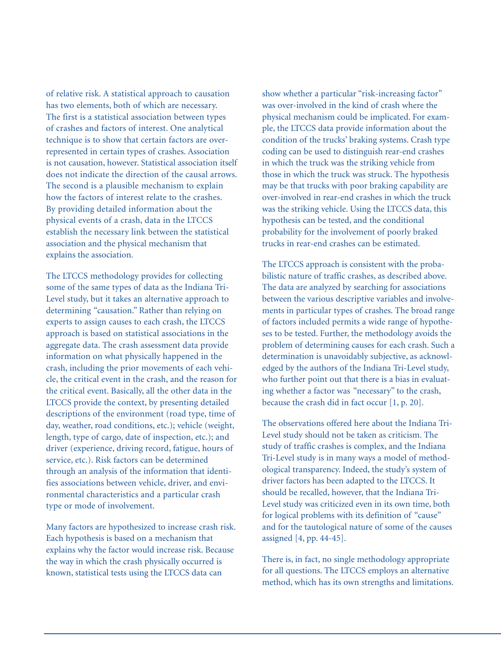of relative risk. A statistical approach to causation has two elements, both of which are necessary. The first is a statistical association between types of crashes and factors of interest. One analytical technique is to show that certain factors are overrepresented in certain types of crashes. Association is not causation, however. Statistical association itself does not indicate the direction of the causal arrows. The second is a plausible mechanism to explain how the factors of interest relate to the crashes. By providing detailed information about the physical events of a crash, data in the LTCCS establish the necessary link between the statistical association and the physical mechanism that explains the association.

The LTCCS methodology provides for collecting some of the same types of data as the Indiana Tri-Level study, but it takes an alternative approach to determining "causation." Rather than relying on experts to assign causes to each crash, the LTCCS approach is based on statistical associations in the aggregate data. The crash assessment data provide information on what physically happened in the crash, including the prior movements of each vehicle, the critical event in the crash, and the reason for the critical event. Basically, all the other data in the LTCCS provide the context, by presenting detailed descriptions of the environment (road type, time of day, weather, road conditions, etc.); vehicle (weight, length, type of cargo, date of inspection, etc.); and driver (experience, driving record, fatigue, hours of service, etc.). Risk factors can be determined through an analysis of the information that identifies associations between vehicle, driver, and environmental characteristics and a particular crash type or mode of involvement.

Many factors are hypothesized to increase crash risk. Each hypothesis is based on a mechanism that explains why the factor would increase risk. Because the way in which the crash physically occurred is known, statistical tests using the LTCCS data can

show whether a particular "risk-increasing factor" was over-involved in the kind of crash where the physical mechanism could be implicated. For example, the LTCCS data provide information about the condition of the trucks' braking systems. Crash type coding can be used to distinguish rear-end crashes in which the truck was the striking vehicle from those in which the truck was struck. The hypothesis may be that trucks with poor braking capability are over-involved in rear-end crashes in which the truck was the striking vehicle. Using the LTCCS data, this hypothesis can be tested, and the conditional probability for the involvement of poorly braked trucks in rear-end crashes can be estimated.

The LTCCS approach is consistent with the probabilistic nature of traffic crashes, as described above. The data are analyzed by searching for associations between the various descriptive variables and involvements in particular types of crashes. The broad range of factors included permits a wide range of hypotheses to be tested. Further, the methodology avoids the problem of determining causes for each crash. Such a determination is unavoidably subjective, as acknowledged by the authors of the Indiana Tri-Level study, who further point out that there is a bias in evaluating whether a factor was "necessary" to the crash, because the crash did in fact occur [1, p. 20].

The observations offered here about the Indiana Tri-Level study should not be taken as criticism. The study of traffic crashes is complex, and the Indiana Tri-Level study is in many ways a model of methodological transparency. Indeed, the study's system of driver factors has been adapted to the LTCCS. It should be recalled, however, that the Indiana Tri-Level study was criticized even in its own time, both for logical problems with its definition of "cause" and for the tautological nature of some of the causes assigned [4, pp. 44-45].

There is, in fact, no single methodology appropriate for all questions. The LTCCS employs an alternative method, which has its own strengths and limitations.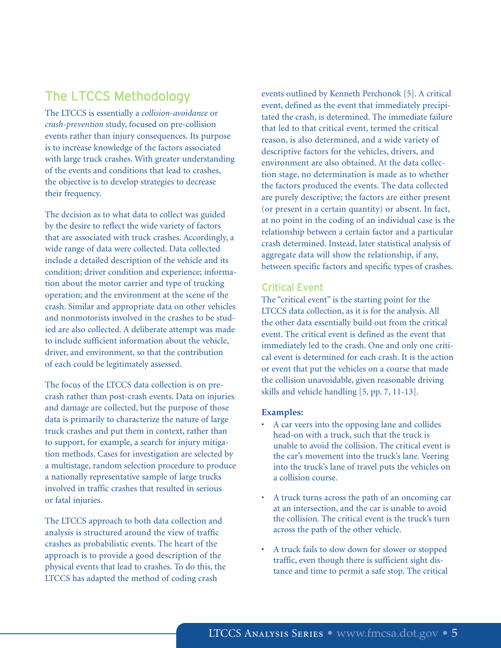### The LTCCS Methodology

The LTCCS is essentially a *collision-avoidance* or *crash-prevention* study, focused on pre-collision events rather than injury consequences. Its purpose is to increase knowledge of the factors associated with large truck crashes. With greater understanding of the events and conditions that lead to crashes, the objective is to develop strategies to decrease their frequency.

The decision as to what data to collect was guided by the desire to reflect the wide variety of factors that are associated with truck crashes. Accordingly, a wide range of data were collected. Data collected include a detailed description of the vehicle and its condition; driver condition and experience; information about the motor carrier and type of trucking operation; and the environment at the scene of the crash. Similar and appropriate data on other vehicles and nonmotorists involved in the crashes to be studied are also collected. A deliberate attempt was made to include sufficient information about the vehicle, driver, and environment, so that the contribution of each could be legitimately assessed.

The focus of the LTCCS data collection is on precrash rather than post-crash events. Data on injuries and damage are collected, but the purpose of those data is primarily to characterize the nature of large truck crashes and put them in context, rather than to support, for example, a search for injury mitigation methods. Cases for investigation are selected by a multistage, random selection procedure to produce a nationally representative sample of large trucks involved in traffic crashes that resulted in serious or fatal injuries.

The LTCCS approach to both data collection and analysis is structured around the view of traffic crashes as probabilistic events. The heart of the approach is to provide a good description of the physical events that lead to crashes. To do this, the LTCCS has adapted the method of coding crash

events outlined by Kenneth Perchonok [5]. A critical event, defined as the event that immediately precipitated the crash, is determined. The immediate failure that led to that critical event, termed the critical reason, is also determined, and a wide variety of descriptive factors for the vehicles, drivers, and environment are also obtained. At the data collection stage, no determination is made as to whether the factors produced the events. The data collected are purely descriptive; the factors are either present (or present in a certain quantity) or absent. In fact, at no point in the coding of an individual case is the relationship between a certain factor and a particular crash determined. Instead, later statistical analysis of aggregate data will show the relationship, if any, between specific factors and specific types of crashes.

#### Critical Event

The "critical event" is the starting point for the LTCCS data collection, as it is for the analysis. All the other data essentially build out from the critical event. The critical event is defined as the event that immediately led to the crash. One and only one critical event is determined for each crash. It is the action or event that put the vehicles on a course that made the collision unavoidable, given reasonable driving skills and vehicle handling [5, pp. 7, 11-13].

#### **Examples:**

- A car veers into the opposing lane and collides head-on with a truck, such that the truck is unable to avoid the collision. The critical event is the car's movement into the truck's lane. Veering into the truck's lane of travel puts the vehicles on a collision course.
- A truck turns across the path of an oncoming car at an intersection, and the car is unable to avoid the collision. The critical event is the truck's turn across the path of the other vehicle.
- A truck fails to slow down for slower or stopped traffic, even though there is sufficient sight distance and time to permit a safe stop. The critical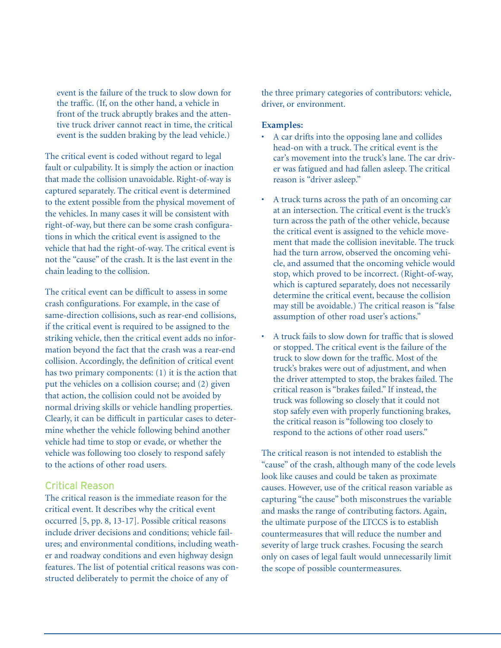event is the failure of the truck to slow down for the traffic. (If, on the other hand, a vehicle in front of the truck abruptly brakes and the attentive truck driver cannot react in time, the critical event is the sudden braking by the lead vehicle.)

The critical event is coded without regard to legal fault or culpability. It is simply the action or inaction that made the collision unavoidable. Right-of-way is captured separately. The critical event is determined to the extent possible from the physical movement of the vehicles. In many cases it will be consistent with right-of-way, but there can be some crash configurations in which the critical event is assigned to the vehicle that had the right-of-way. The critical event is not the "cause" of the crash. It is the last event in the chain leading to the collision.

The critical event can be difficult to assess in some crash configurations. For example, in the case of same-direction collisions, such as rear-end collisions, if the critical event is required to be assigned to the striking vehicle, then the critical event adds no information beyond the fact that the crash was a rear-end collision. Accordingly, the definition of critical event has two primary components: (1) it is the action that put the vehicles on a collision course; and (2) given that action, the collision could not be avoided by normal driving skills or vehicle handling properties. Clearly, it can be difficult in particular cases to determine whether the vehicle following behind another vehicle had time to stop or evade, or whether the vehicle was following too closely to respond safely to the actions of other road users.

#### Critical Reason

The critical reason is the immediate reason for the critical event. It describes why the critical event occurred [5, pp. 8, 13-17]. Possible critical reasons include driver decisions and conditions; vehicle failures; and environmental conditions, including weather and roadway conditions and even highway design features. The list of potential critical reasons was constructed deliberately to permit the choice of any of

the three primary categories of contributors: vehicle, driver, or environment.

#### **Examples:**

- A car drifts into the opposing lane and collides head-on with a truck. The critical event is the car's movement into the truck's lane. The car driver was fatigued and had fallen asleep. The critical reason is "driver asleep."
- A truck turns across the path of an oncoming car at an intersection. The critical event is the truck's turn across the path of the other vehicle, because the critical event is assigned to the vehicle movement that made the collision inevitable. The truck had the turn arrow, observed the oncoming vehicle, and assumed that the oncoming vehicle would stop, which proved to be incorrect. (Right-of-way, which is captured separately, does not necessarily determine the critical event, because the collision may still be avoidable.) The critical reason is "false assumption of other road user's actions."
- A truck fails to slow down for traffic that is slowed or stopped. The critical event is the failure of the truck to slow down for the traffic. Most of the truck's brakes were out of adjustment, and when the driver attempted to stop, the brakes failed. The critical reason is "brakes failed." If instead, the truck was following so closely that it could not stop safely even with properly functioning brakes, the critical reason is "following too closely to respond to the actions of other road users."

The critical reason is not intended to establish the "cause" of the crash, although many of the code levels look like causes and could be taken as proximate causes. However, use of the critical reason variable as capturing "the cause" both misconstrues the variable and masks the range of contributing factors. Again, the ultimate purpose of the LTCCS is to establish countermeasures that will reduce the number and severity of large truck crashes. Focusing the search only on cases of legal fault would unnecessarily limit the scope of possible countermeasures.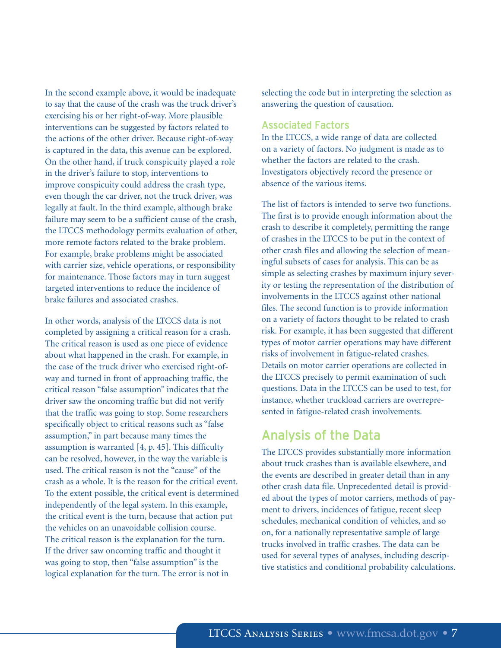In the second example above, it would be inadequate to say that the cause of the crash was the truck driver's exercising his or her right-of-way. More plausible interventions can be suggested by factors related to the actions of the other driver. Because right-of-way is captured in the data, this avenue can be explored. On the other hand, if truck conspicuity played a role in the driver's failure to stop, interventions to improve conspicuity could address the crash type, even though the car driver, not the truck driver, was legally at fault. In the third example, although brake failure may seem to be a sufficient cause of the crash, the LTCCS methodology permits evaluation of other, more remote factors related to the brake problem. For example, brake problems might be associated with carrier size, vehicle operations, or responsibility for maintenance. Those factors may in turn suggest targeted interventions to reduce the incidence of brake failures and associated crashes.

In other words, analysis of the LTCCS data is not completed by assigning a critical reason for a crash. The critical reason is used as one piece of evidence about what happened in the crash. For example, in the case of the truck driver who exercised right-ofway and turned in front of approaching traffic, the critical reason "false assumption" indicates that the driver saw the oncoming traffic but did not verify that the traffic was going to stop. Some researchers specifically object to critical reasons such as "false assumption," in part because many times the assumption is warranted [4, p. 45]. This difficulty can be resolved, however, in the way the variable is used. The critical reason is not the "cause" of the crash as a whole. It is the reason for the critical event. To the extent possible, the critical event is determined independently of the legal system. In this example, the critical event is the turn, because that action put the vehicles on an unavoidable collision course. The critical reason is the explanation for the turn. If the driver saw oncoming traffic and thought it was going to stop, then "false assumption" is the logical explanation for the turn. The error is not in

selecting the code but in interpreting the selection as answering the question of causation.

#### Associated Factors

In the LTCCS, a wide range of data are collected on a variety of factors. No judgment is made as to whether the factors are related to the crash. Investigators objectively record the presence or absence of the various items.

The list of factors is intended to serve two functions. The first is to provide enough information about the crash to describe it completely, permitting the range of crashes in the LTCCS to be put in the context of other crash files and allowing the selection of meaningful subsets of cases for analysis. This can be as simple as selecting crashes by maximum injury severity or testing the representation of the distribution of involvements in the LTCCS against other national files. The second function is to provide information on a variety of factors thought to be related to crash risk. For example, it has been suggested that different types of motor carrier operations may have different risks of involvement in fatigue-related crashes. Details on motor carrier operations are collected in the LTCCS precisely to permit examination of such questions. Data in the LTCCS can be used to test, for instance, whether truckload carriers are overrepresented in fatigue-related crash involvements.

### Analysis of the Data

The LTCCS provides substantially more information about truck crashes than is available elsewhere, and the events are described in greater detail than in any other crash data file. Unprecedented detail is provided about the types of motor carriers, methods of payment to drivers, incidences of fatigue, recent sleep schedules, mechanical condition of vehicles, and so on, for a nationally representative sample of large trucks involved in traffic crashes. The data can be used for several types of analyses, including descriptive statistics and conditional probability calculations.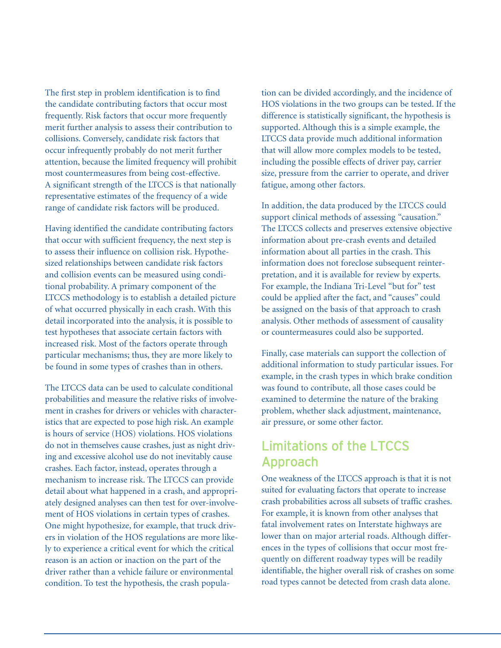The first step in problem identification is to find the candidate contributing factors that occur most frequently. Risk factors that occur more frequently merit further analysis to assess their contribution to collisions. Conversely, candidate risk factors that occur infrequently probably do not merit further attention, because the limited frequency will prohibit most countermeasures from being cost-effective. A significant strength of the LTCCS is that nationally representative estimates of the frequency of a wide range of candidate risk factors will be produced.

Having identified the candidate contributing factors that occur with sufficient frequency, the next step is to assess their influence on collision risk. Hypothesized relationships between candidate risk factors and collision events can be measured using conditional probability. A primary component of the LTCCS methodology is to establish a detailed picture of what occurred physically in each crash. With this detail incorporated into the analysis, it is possible to test hypotheses that associate certain factors with increased risk. Most of the factors operate through particular mechanisms; thus, they are more likely to be found in some types of crashes than in others.

The LTCCS data can be used to calculate conditional probabilities and measure the relative risks of involvement in crashes for drivers or vehicles with characteristics that are expected to pose high risk. An example is hours of service (HOS) violations. HOS violations do not in themselves cause crashes, just as night driving and excessive alcohol use do not inevitably cause crashes. Each factor, instead, operates through a mechanism to increase risk. The LTCCS can provide detail about what happened in a crash, and appropriately designed analyses can then test for over-involvement of HOS violations in certain types of crashes. One might hypothesize, for example, that truck drivers in violation of the HOS regulations are more likely to experience a critical event for which the critical reason is an action or inaction on the part of the driver rather than a vehicle failure or environmental condition. To test the hypothesis, the crash popula-

tion can be divided accordingly, and the incidence of HOS violations in the two groups can be tested. If the difference is statistically significant, the hypothesis is supported. Although this is a simple example, the LTCCS data provide much additional information that will allow more complex models to be tested, including the possible effects of driver pay, carrier size, pressure from the carrier to operate, and driver fatigue, among other factors.

In addition, the data produced by the LTCCS could support clinical methods of assessing "causation." The LTCCS collects and preserves extensive objective information about pre-crash events and detailed information about all parties in the crash. This information does not foreclose subsequent reinterpretation, and it is available for review by experts. For example, the Indiana Tri-Level "but for" test could be applied after the fact, and "causes" could be assigned on the basis of that approach to crash analysis. Other methods of assessment of causality or countermeasures could also be supported.

Finally, case materials can support the collection of additional information to study particular issues. For example, in the crash types in which brake condition was found to contribute, all those cases could be examined to determine the nature of the braking problem, whether slack adjustment, maintenance, air pressure, or some other factor.

### Limitations of the LTCCS Approach

One weakness of the LTCCS approach is that it is not suited for evaluating factors that operate to increase crash probabilities across all subsets of traffic crashes. For example, it is known from other analyses that fatal involvement rates on Interstate highways are lower than on major arterial roads. Although differences in the types of collisions that occur most frequently on different roadway types will be readily identifiable, the higher overall risk of crashes on some road types cannot be detected from crash data alone.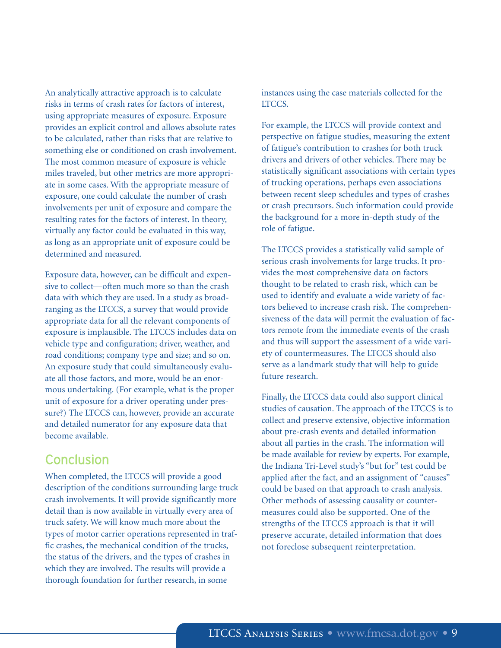An analytically attractive approach is to calculate risks in terms of crash rates for factors of interest, using appropriate measures of exposure. Exposure provides an explicit control and allows absolute rates to be calculated, rather than risks that are relative to something else or conditioned on crash involvement. The most common measure of exposure is vehicle miles traveled, but other metrics are more appropriate in some cases. With the appropriate measure of exposure, one could calculate the number of crash involvements per unit of exposure and compare the resulting rates for the factors of interest. In theory, virtually any factor could be evaluated in this way, as long as an appropriate unit of exposure could be determined and measured.

Exposure data, however, can be difficult and expensive to collect—often much more so than the crash data with which they are used. In a study as broadranging as the LTCCS, a survey that would provide appropriate data for all the relevant components of exposure is implausible. The LTCCS includes data on vehicle type and configuration; driver, weather, and road conditions; company type and size; and so on. An exposure study that could simultaneously evaluate all those factors, and more, would be an enormous undertaking. (For example, what is the proper unit of exposure for a driver operating under pressure?) The LTCCS can, however, provide an accurate and detailed numerator for any exposure data that become available.

### **Conclusion**

When completed, the LTCCS will provide a good description of the conditions surrounding large truck crash involvements. It will provide significantly more detail than is now available in virtually every area of truck safety. We will know much more about the types of motor carrier operations represented in traffic crashes, the mechanical condition of the trucks, the status of the drivers, and the types of crashes in which they are involved. The results will provide a thorough foundation for further research, in some

instances using the case materials collected for the LTCCS.

For example, the LTCCS will provide context and perspective on fatigue studies, measuring the extent of fatigue's contribution to crashes for both truck drivers and drivers of other vehicles. There may be statistically significant associations with certain types of trucking operations, perhaps even associations between recent sleep schedules and types of crashes or crash precursors. Such information could provide the background for a more in-depth study of the role of fatigue.

The LTCCS provides a statistically valid sample of serious crash involvements for large trucks. It provides the most comprehensive data on factors thought to be related to crash risk, which can be used to identify and evaluate a wide variety of factors believed to increase crash risk. The comprehensiveness of the data will permit the evaluation of factors remote from the immediate events of the crash and thus will support the assessment of a wide variety of countermeasures. The LTCCS should also serve as a landmark study that will help to guide future research.

Finally, the LTCCS data could also support clinical studies of causation. The approach of the LTCCS is to collect and preserve extensive, objective information about pre-crash events and detailed information about all parties in the crash. The information will be made available for review by experts. For example, the Indiana Tri-Level study's "but for" test could be applied after the fact, and an assignment of "causes" could be based on that approach to crash analysis. Other methods of assessing causality or countermeasures could also be supported. One of the strengths of the LTCCS approach is that it will preserve accurate, detailed information that does not foreclose subsequent reinterpretation.